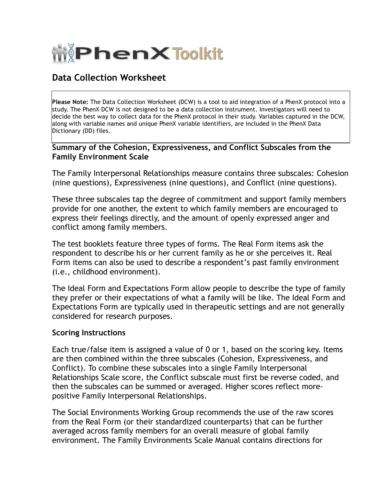

## **Data Collection Worksheet**

**Please Note:** The Data Collection Worksheet (DCW) is a tool to aid integration of a PhenX protocol into a study. The PhenX DCW is not designed to be a data collection instrument. Investigators will need to decide the best way to collect data for the PhenX protocol in their study. Variables captured in the DCW, along with variable names and unique PhenX variable identifiers, are included in the PhenX Data Dictionary (DD) files.

## **Summary of the Cohesion, Expressiveness, and Conflict Subscales from the Family Environment Scale**

The Family Interpersonal Relationships measure contains three subscales: Cohesion (nine questions), Expressiveness (nine questions), and Conflict (nine questions).

These three subscales tap the degree of commitment and support family members provide for one another, the extent to which family members are encouraged to express their feelings directly, and the amount of openly expressed anger and conflict among family members.

The test booklets feature three types of forms. The Real Form items ask the respondent to describe his or her current family as he or she perceives it. Real Form items can also be used to describe a respondent's past family environment (i.e., childhood environment).

The Ideal Form and Expectations Form allow people to describe the type of family they prefer or their expectations of what a family will be like. The Ideal Form and Expectations Form are typically used in therapeutic settings and are not generally considered for research purposes.

## **Scoring Instructions**

Each true/false item is assigned a value of 0 or 1, based on the scoring key. Items are then combined within the three subscales (Cohesion, Expressiveness, and Conflict). To combine these subscales into a single Family Interpersonal Relationships Scale score, the Conflict subscale must first be reverse coded, and then the subscales can be summed or averaged. Higher scores reflect morepositive Family Interpersonal Relationships.

The Social Environments Working Group recommends the use of the raw scores from the Real Form (or their standardized counterparts) that can be further averaged across family members for an overall measure of global family environment. The Family Environments Scale Manual contains directions for